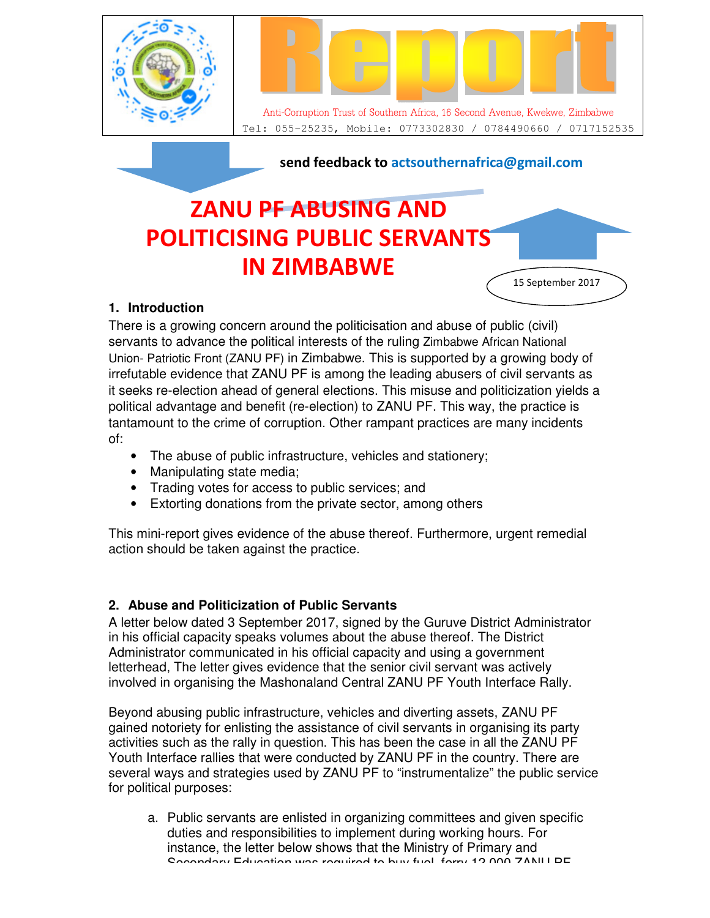

# **ZANU PF ABUSING AND POLITICISING PUBLIC SERVANTS IN ZIMBABWE**

## **1. Introduction**

There is a growing concern around the politicisation and abuse of public (civil) servants to advance the political interests of the ruling Zimbabwe African National Union- Patriotic Front (ZANU PF) in Zimbabwe. This is supported by a growing body of irrefutable evidence that ZANU PF is among the leading abusers of civil servants as it seeks re-election ahead of general elections. This misuse and politicization yields a political advantage and benefit (re-election) to ZANU PF. This way, the practice is tantamount to the crime of corruption. Other rampant practices are many incidents of:

15 September 2017

- The abuse of public infrastructure, vehicles and stationery;
- Manipulating state media;
- Trading votes for access to public services; and
- Extorting donations from the private sector, among others

This mini-report gives evidence of the abuse thereof. Furthermore, urgent remedial action should be taken against the practice.

### **2. Abuse and Politicization of Public Servants**

A letter below dated 3 September 2017, signed by the Guruve District Administrator in his official capacity speaks volumes about the abuse thereof. The District Administrator communicated in his official capacity and using a government letterhead, The letter gives evidence that the senior civil servant was actively involved in organising the Mashonaland Central ZANU PF Youth Interface Rally.

Beyond abusing public infrastructure, vehicles and diverting assets, ZANU PF gained notoriety for enlisting the assistance of civil servants in organising its party activities such as the rally in question. This has been the case in all the ZANU PF Youth Interface rallies that were conducted by ZANU PF in the country. There are several ways and strategies used by ZANU PF to "instrumentalize" the public service for political purposes:

a. Public servants are enlisted in organizing committees and given specific duties and responsibilities to implement during working hours. For instance, the letter below shows that the Ministry of Primary and Secondary Education was required to buy fuel, ferry 12,000 ZANUI DE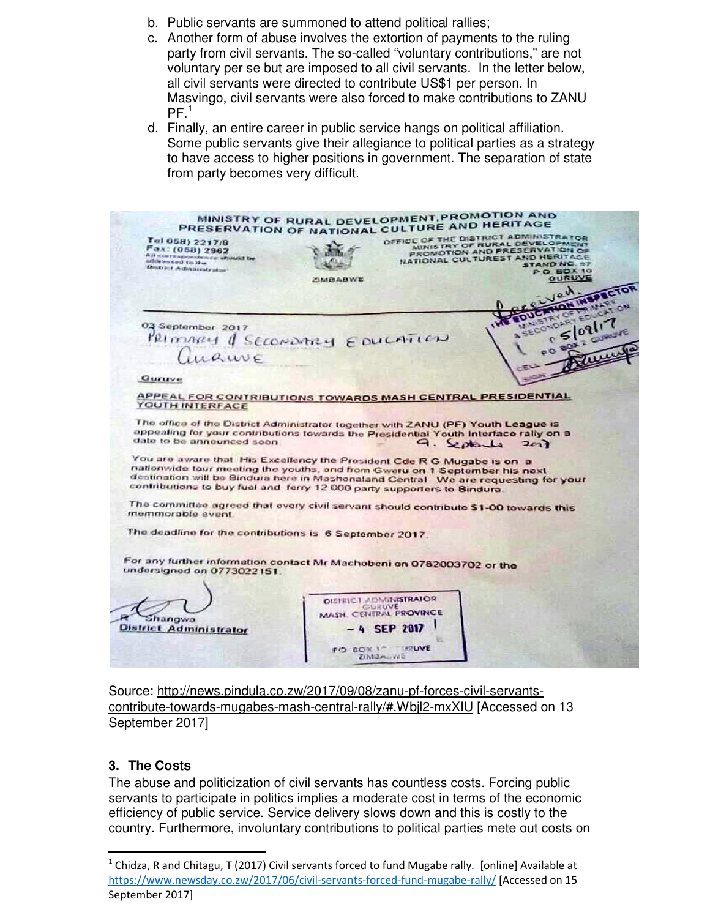- b. Public servants are summoned to attend political rallies;
- c. Another form of abuse involves the extortion of payments to the ruling party from civil servants. The so-called "voluntary contributions," are not voluntary per se but are imposed to all civil servants. In the letter below, all civil servants were directed to contribute US\$1 per person. In Masvingo, civil servants were also forced to make contributions to ZANU  $PF<sup>1</sup>$
- d. Finally, an entire career in public service hangs on political affiliation. Some public servants give their allegiance to political parties as a strategy to have access to higher positions in government. The separation of state from party becomes very difficult.

| MINISTRY OF RURAL DEVELOPMENT, PROMOTION AND<br>PRESERVATION OF NATIONAL CULTURE AND HERITAGE                                                                                                                                                                                                                                                                                                                                                                                                                                   |                                      |                                                   |                                                                                                                                                                                                        |                            |
|---------------------------------------------------------------------------------------------------------------------------------------------------------------------------------------------------------------------------------------------------------------------------------------------------------------------------------------------------------------------------------------------------------------------------------------------------------------------------------------------------------------------------------|--------------------------------------|---------------------------------------------------|--------------------------------------------------------------------------------------------------------------------------------------------------------------------------------------------------------|----------------------------|
| Tel 058) 2217/8<br>Fax: (058) 2962<br>All coursepositionce should be<br>addressed to the<br>District Administration*                                                                                                                                                                                                                                                                                                                                                                                                            | <b>ZIMBABWE</b>                      |                                                   | OFFICE OF THE DISTRICT ADMINISTRATOR<br>NUNISTRY OF RURAL DEVELOPMENT<br>PROMOTION AND PRESERVATION OF<br>NATIONAL CULTUREST AND HERITAGE<br><b>STAND NO. ST</b><br><b>PO. BOX 10</b><br><b>GURUVE</b> | <b>JON INSPECTOR</b>       |
| 03 September 2017<br>PRIMARY & SECONDARY EDUCATION<br>Guruve                                                                                                                                                                                                                                                                                                                                                                                                                                                                    |                                      |                                                   | NISTRY OF FRIVAR<br>SECONDARY EDUCATION                                                                                                                                                                | s 09 17<br>PO BOX 2 GURUVE |
| APPEAL FOR CONTRIBUTIONS TOWARDS MASH CENTRAL PRESIDENTIAL<br>YOUTH INTERFACE                                                                                                                                                                                                                                                                                                                                                                                                                                                   |                                      |                                                   |                                                                                                                                                                                                        |                            |
| The office of the District Administrator together with ZANU (PF) Youth League is<br>appealing for your contributions towards the Presidential Youth Interface rally on a<br>date to be announced soon.<br>You are aware that His Excellency the President Cde R G Mugabe is on a<br>nationwide tour meeting the youths, and from Gweru on 1 September his next<br>destination will be Bindura here in Mashonaland Central We are requesting for your<br>contributions to buy fuel and ferry 12 000 party supporters to Bindura. |                                      |                                                   | $9.$ September 2017                                                                                                                                                                                    |                            |
| The committee agreed that every civil servant should contribute \$1-00 towards this<br>memmorable event.                                                                                                                                                                                                                                                                                                                                                                                                                        |                                      |                                                   |                                                                                                                                                                                                        |                            |
| The deadline for the contributions is 6 September 2017.                                                                                                                                                                                                                                                                                                                                                                                                                                                                         |                                      |                                                   |                                                                                                                                                                                                        |                            |
| For any further information contact Mr Machobeni on 0782003702 or the<br>undersigned on 0773022151.                                                                                                                                                                                                                                                                                                                                                                                                                             |                                      |                                                   |                                                                                                                                                                                                        |                            |
| hangwa<br><b>District Administrator</b>                                                                                                                                                                                                                                                                                                                                                                                                                                                                                         | <b><i>DISTRICT ADMINISTRATOR</i></b> | GURUVE<br>MASH, CENTRAL PROVINCE<br>$-4$ SEP 2017 |                                                                                                                                                                                                        |                            |
|                                                                                                                                                                                                                                                                                                                                                                                                                                                                                                                                 | FO BOIL IT                           | <b>INTERNET</b><br>ZIMOA WE                       |                                                                                                                                                                                                        |                            |

Source: http://news.pindula.co.zw/2017/09/08/zanu-pf-forces-civil-servantscontribute-towards-mugabes-mash-central-rally/#.Wbjl2-mxXIU [Accessed on 13 September 2017]

### **3. The Costs**

l,

The abuse and politicization of civil servants has countless costs. Forcing public servants to participate in politics implies a moderate cost in terms of the economic efficiency of public service. Service delivery slows down and this is costly to the country. Furthermore, involuntary contributions to political parties mete out costs on

<sup>&</sup>lt;sup>1</sup> Chidza, R and Chitagu, T (2017) Civil servants forced to fund Mugabe rally. [online] Available at https://www.newsday.co.zw/2017/06/civil-servants-forced-fund-mugabe-rally/ [Accessed on 15 September 2017]